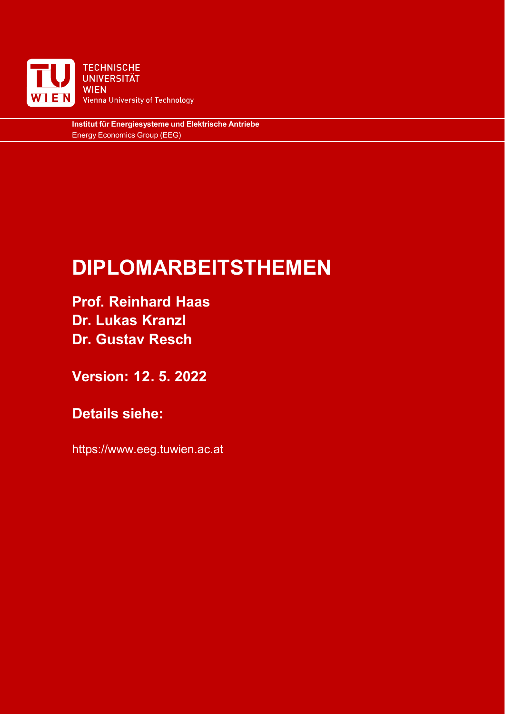

**Institut für Energiesysteme und Elektrische Antriebe** Energy Economics Group (EEG)

# **DIPLOMARBEITSTHEMEN**

**Prof. Reinhard Haas Dr. Lukas Kranzl Dr. Gustav Resch**

**Version: 12. 5. 2022**

**Details siehe:** 

https://www.eeg.tuwien.ac.at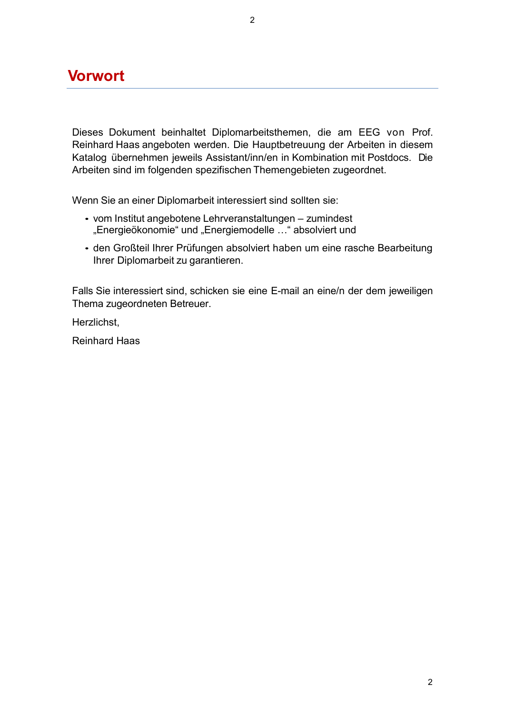### **Vorwort**

Dieses Dokument beinhaltet Diplomarbeitsthemen, die am EEG von Prof. Reinhard Haas angeboten werden. Die Hauptbetreuung der Arbeiten in diesem Katalog übernehmen jeweils Assistant/inn/en in Kombination mit Postdocs. Die Arbeiten sind im folgenden spezifischen Themengebieten zugeordnet.

Wenn Sie an einer Diplomarbeit interessiert sind sollten sie:

- vom Institut angebotene Lehrveranstaltungen zumindest "Energieökonomie" und "Energiemodelle ..." absolviert und
- den Großteil Ihrer Prüfungen absolviert haben um eine rasche Bearbeitung Ihrer Diplomarbeit zu garantieren.

Falls Sie interessiert sind, schicken sie eine E-mail an eine/n der dem jeweiligen Thema zugeordneten Betreuer.

Herzlichst,

Reinhard Haas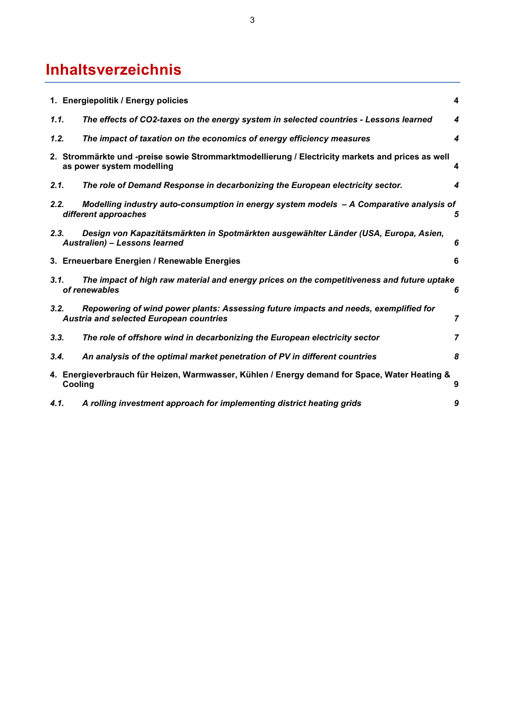# **Inhaltsverzeichnis**

|      | 1. Energiepolitik / Energy policies                                                                                                    | 4                |
|------|----------------------------------------------------------------------------------------------------------------------------------------|------------------|
| 1.1. | The effects of CO2-taxes on the energy system in selected countries - Lessons learned                                                  | 4                |
| 1.2. | The impact of taxation on the economics of energy efficiency measures                                                                  | $\boldsymbol{4}$ |
|      | 2. Strommärkte und -preise sowie Strommarktmodellierung / Electricity markets and prices as well<br>as power system modelling          | 4                |
| 2.1. | The role of Demand Response in decarbonizing the European electricity sector.                                                          | 4                |
| 2.2. | Modelling industry auto-consumption in energy system models - A Comparative analysis of<br>different approaches                        | 5                |
| 2.3. | Design von Kapazitätsmärkten in Spotmärkten ausgewählter Länder (USA, Europa, Asien,<br>Australien) - Lessons learned                  | 6                |
|      | 3. Erneuerbare Energien / Renewable Energies                                                                                           | 6                |
| 3.1. | The impact of high raw material and energy prices on the competitiveness and future uptake<br>of renewables                            | 6                |
| 3.2. | Repowering of wind power plants: Assessing future impacts and needs, exemplified for<br><b>Austria and selected European countries</b> | $\overline{7}$   |
| 3.3. | The role of offshore wind in decarbonizing the European electricity sector                                                             | 7                |
| 3.4. | An analysis of the optimal market penetration of PV in different countries                                                             | 8                |
|      | 4. Energieverbrauch für Heizen, Warmwasser, Kühlen / Energy demand for Space, Water Heating &<br>Cooling                               | 9                |
| 4.1. | A rolling investment approach for implementing district heating grids                                                                  | 9                |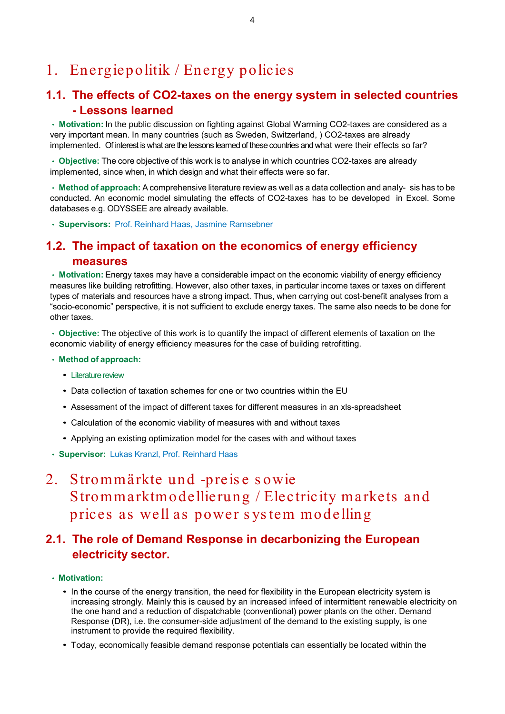# <span id="page-3-0"></span>1. Energiepolitik / Energy policies

### <span id="page-3-1"></span>**1.1. The effects of CO2-taxes on the energy system in selected countries - Lessons learned**

• **Motivation:** In the public discussion on fighting against Global Warming CO2-taxes are considered as a very important mean. In many countries (such as Sweden, Switzerland, ) CO2-taxes are already implemented. Of interest is what are the lessons learned of these countries and what were their effects so far?

• **Objective:** The core objective of this work is to analyse in which countries CO2-taxes are already implemented, since when, in which design and what their effects were so far.

• **Method of approach:** A comprehensive literature review as well as a data collection and analy- sis has to be conducted. An economic model simulating the effects of CO2-taxes has to be developed in Excel. Some databases e.g. ODYSSEE are already available.

• **Supervisors:** Prof. [Reinhard](mailto:Haas@eeg.tuwien.ac.at) Haas, Jasmine Ramsebner

### <span id="page-3-2"></span>**1.2. The impact of taxation on the economics of energy efficiency measures**

• **Motivation:** Energy taxes may have a considerable impact on the economic viability of energy efficiency measures like building retrofitting. However, also other taxes, in particular income taxes or taxes on different types of materials and resources have a strong impact. Thus, when carrying out cost-benefit analyses from a "socio-economic" perspective, it is not sufficient to exclude energy taxes. The same also needs to be done for other taxes.

• **Objective:** The objective of this work is to quantify the impact of different elements of taxation on the economic viability of energy efficiency measures for the case of building retrofitting.

#### • **Method of approach:**

- *•* Literature review
- *•* Data collection of taxation schemes for one or two countries within the EU
- *•* Assessment of the impact of different taxes for different measures in an xls-spreadsheet
- *•* Calculation of the economic viability of measures with and without taxes
- *•* Applying an existing optimization model for the cases with and without taxes
- **Supervisor:** Lukas Kranzl, Prof. [Reinhard Haas](mailto:Haas@eeg.tuwien.ac.at)

## <span id="page-3-3"></span>2. Strommärkte und -preis e s owie Strommarktmodellierung / Electricity markets and prices as well as power s ys tem modelling

### <span id="page-3-4"></span>**2.1. The role of Demand Response in decarbonizing the European electricity sector.**

#### • **Motivation:**

- In the course of the energy transition, the need for flexibility in the European electricity system is increasing strongly. Mainly this is caused by an increased infeed of intermittent renewable electricity on the one hand and a reduction of dispatchable (conventional) power plants on the other. Demand Response (DR), i.e. the consumer-side adjustment of the demand to the existing supply, is one instrument to provide the required flexibility.
- *•* Today, economically feasible demand response potentials can essentially be located within the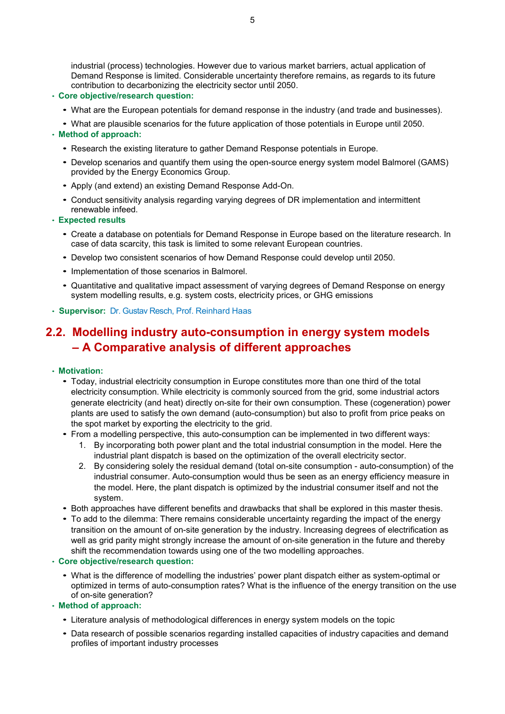industrial (process) technologies. However due to various market barriers, actual application of Demand Response is limited. Considerable uncertainty therefore remains, as regards to its future contribution to decarbonizing the electricity sector until 2050.

#### • **Core objective/research question:**

- *•* What are the European potentials for demand response in the industry (and trade and businesses).
- *•* What are plausible scenarios for the future application of those potentials in Europe until 2050.

#### • **Method of approach:**

- *•* Research the existing literature to gather Demand Response potentials in Europe.
- *•* Develop scenarios and quantify them using the open-source energy system model Balmorel (GAMS) provided by the Energy Economics Group.
- *•* Apply (and extend) an existing Demand Response Add-On.
- *•* Conduct sensitivity analysis regarding varying degrees of DR implementation and intermittent renewable infeed.

#### • **Expected results**

- *•* Create a database on potentials for Demand Response in Europe based on the literature research. In case of data scarcity, this task is limited to some relevant European countries.
- *•* Develop two consistent scenarios of how Demand Response could develop until 2050.
- *•* Implementation of those scenarios in Balmorel.
- *•* Quantitative and qualitative impact assessment of varying degrees of Demand Response on energy system modelling results, e.g. system costs, electricity prices, or GHG emissions
- **Supervisor:** Dr. Gustav Resch, Prof. [Reinhard](mailto:Haas@eeg.tuwien.ac.at) Haas

### <span id="page-4-0"></span>**2.2. Modelling industry auto-consumption in energy system models – A Comparative analysis of different approaches**

#### • **Motivation:**

- *•* Today, industrial electricity consumption in Europe constitutes more than one third of the total electricity consumption. While electricity is commonly sourced from the grid, some industrial actors generate electricity (and heat) directly on-site for their own consumption. These (cogeneration) power plants are used to satisfy the own demand (auto-consumption) but also to profit from price peaks on the spot market by exporting the electricity to the grid.
- *•* From a modelling perspective, this auto-consumption can be implemented in two different ways:
	- 1. By incorporating both power plant and the total industrial consumption in the model. Here the industrial plant dispatch is based on the optimization of the overall electricity sector.
	- 2. By considering solely the residual demand (total on-site consumption auto-consumption) of the industrial consumer. Auto-consumption would thus be seen as an energy efficiency measure in the model. Here, the plant dispatch is optimized by the industrial consumer itself and not the system.
- *•* Both approaches have different benefits and drawbacks that shall be explored in this master thesis.
- *•* To add to the dilemma: There remains considerable uncertainty regarding the impact of the energy transition on the amount of on-site generation by the industry. Increasing degrees of electrification as well as grid parity might strongly increase the amount of on-site generation in the future and thereby shift the recommendation towards using one of the two modelling approaches.

#### • **Core objective/research question:**

*•* What is the difference of modelling the industries' power plant dispatch either as system-optimal or optimized in terms of auto-consumption rates? What is the influence of the energy transition on the use of on-site generation?

#### • **Method of approach:**

- *•* Literature analysis of methodological differences in energy system models on the topic
- *•* Data research of possible scenarios regarding installed capacities of industry capacities and demand profiles of important industry processes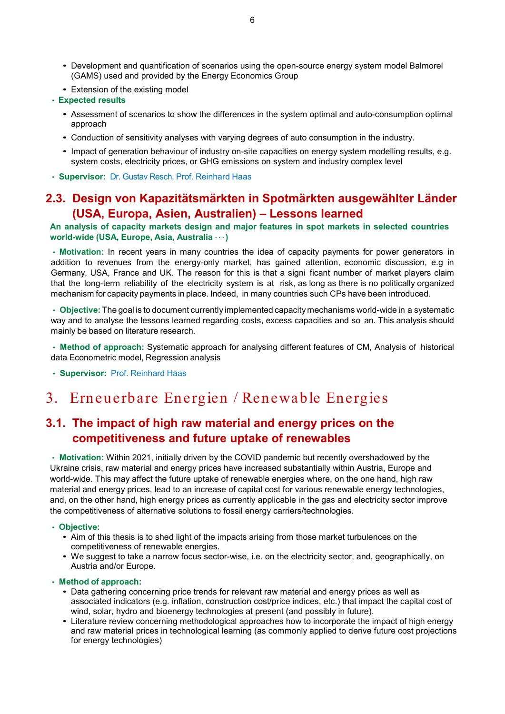- *•* Development and quantification of scenarios using the open-source energy system model Balmorel (GAMS) used and provided by the Energy Economics Group
- *•* Extension of the existing model

#### • **Expected results**

- *•* Assessment of scenarios to show the differences in the system optimal and auto-consumption optimal approach
- *•* Conduction of sensitivity analyses with varying degrees of auto consumption in the industry.
- *•* Impact of generation behaviour of industry on-site capacities on energy system modelling results, e.g. system costs, electricity prices, or GHG emissions on system and industry complex level
- **Supervisor:** Dr. Gustav Resch, Prof. [Reinhard](mailto:Haas@eeg.tuwien.ac.at) Haas

### <span id="page-5-0"></span>**2.3. Design von Kapazitätsmärkten in Spotmärkten ausgewählter Länder (USA, Europa, Asien, Australien) – Lessons learned**

#### **An analysis of capacity markets design and major features in spot markets in selected countries world-wide (USA, Europe, Asia, Australia** *· · ·***)**

• **Motivation:** In recent years in many countries the idea of capacity payments for power generators in addition to revenues from the energy-only market, has gained attention, economic discussion, e.g in Germany, USA, France and UK. The reason for this is that a signi ficant number of market players claim that the long-term reliability of the electricity system is at risk, as long as there is no politically organized mechanism for capacity payments in place. Indeed, in many countries such CPs have been introduced.

• **Objective:** The goal is to document currently implemented capacity mechanisms world-wide in a systematic way and to analyse the lessons learned regarding costs, excess capacities and so an. This analysis should mainly be based on literature research.

• **Method of approach:** Systematic approach for analysing different features of CM, Analysis of historical data Econometric model, Regression analysis

• **Supervisor:** Prof. [Reinhard](mailto:Haas@eeg.tuwien.ac.at) Haas

## <span id="page-5-1"></span>3. Erneuerbare Energien / Renewable Energies

### <span id="page-5-2"></span>**3.1. The impact of high raw material and energy prices on the competitiveness and future uptake of renewables**

• **Motivation:** Within 2021, initially driven by the COVID pandemic but recently overshadowed by the Ukraine crisis, raw material and energy prices have increased substantially within Austria, Europe and world-wide. This may affect the future uptake of renewable energies where, on the one hand, high raw material and energy prices, lead to an increase of capital cost for various renewable energy technologies, and, on the other hand, high energy prices as currently applicable in the gas and electricity sector improve the competitiveness of alternative solutions to fossil energy carriers/technologies.

#### • **Objective:**

- *•* Aim of this thesis is to shed light of the impacts arising from those market turbulences on the competitiveness of renewable energies.
- We suggest to take a narrow focus sector-wise, i.e. on the electricity sector, and, geographically, on Austria and/or Europe.

#### • **Method of approach:**

- *•* Data gathering concerning price trends for relevant raw material and energy prices as well as associated indicators (e.g. inflation, construction cost/price indices, etc.) that impact the capital cost of wind, solar, hydro and bioenergy technologies at present (and possibly in future).
- *•* Literature review concerning methodological approaches how to incorporate the impact of high energy and raw material prices in technological learning (as commonly applied to derive future cost projections for energy technologies)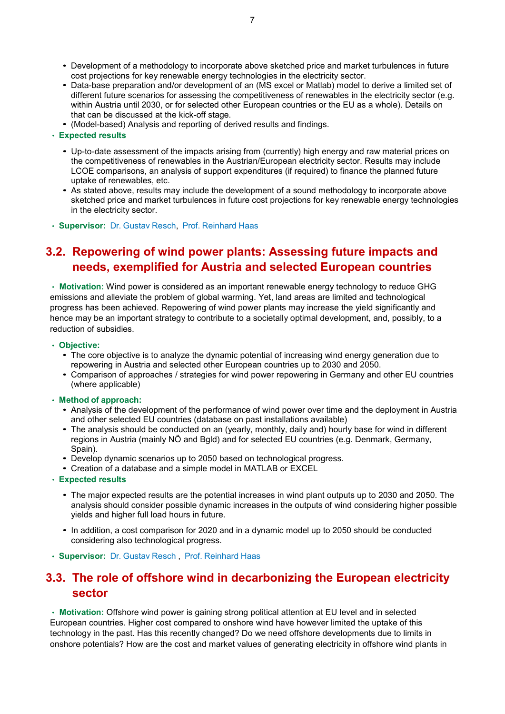- *•* Development of a methodology to incorporate above sketched price and market turbulences in future cost projections for key renewable energy technologies in the electricity sector.
- *•* Data-base preparation and/or development of an (MS excel or Matlab) model to derive a limited set of different future scenarios for assessing the competitiveness of renewables in the electricity sector (e.g. within Austria until 2030, or for selected other European countries or the EU as a whole). Details on that can be discussed at the kick-off stage.
- *•* (Model-based) Analysis and reporting of derived results and findings.
- **Expected results**
	- *•* Up-to-date assessment of the impacts arising from (currently) high energy and raw material prices on the competitiveness of renewables in the Austrian/European electricity sector. Results may include LCOE comparisons, an analysis of support expenditures (if required) to finance the planned future uptake of renewables, etc.
	- *•* As stated above, results may include the development of a sound methodology to incorporate above sketched price and market turbulences in future cost projections for key renewable energy technologies in the electricity sector.
- **Supervisor:** [Dr. Gustav](mailto:Resch@eeg.tuwien.ac.at) Resch, Prof. [Reinhard](mailto:Haas@eeg.tuwien.ac.at) Haas

### <span id="page-6-0"></span>**3.2. Repowering of wind power plants: Assessing future impacts and needs, exemplified for Austria and selected European countries**

• **Motivation:** Wind power is considered as an important renewable energy technology to reduce GHG emissions and alleviate the problem of global warming. Yet, land areas are limited and technological progress has been achieved. Repowering of wind power plants may increase the yield significantly and hence may be an important strategy to contribute to a societally optimal development, and, possibly, to a reduction of subsidies.

#### • **Objective:**

- *•* The core objective is to analyze the dynamic potential of increasing wind energy generation due to repowering in Austria and selected other European countries up to 2030 and 2050.
- *•* Comparison of approaches / strategies for wind power repowering in Germany and other EU countries (where applicable)

#### • **Method of approach:**

- *•* Analysis of the development of the performance of wind power over time and the deployment in Austria and other selected EU countries (database on past installations available)
- *•* The analysis should be conducted on an (yearly, monthly, daily and) hourly base for wind in different regions in Austria (mainly NÖ and Bgld) and for selected EU countries (e.g. Denmark, Germany, Spain).
- *•* Develop dynamic scenarios up to 2050 based on technological progress.
- *•* Creation of a database and a simple model in MATLAB or EXCEL
- **Expected results**
	- *•* The major expected results are the potential increases in wind plant outputs up to 2030 and 2050. The analysis should consider possible dynamic increases in the outputs of wind considering higher possible yields and higher full load hours in future.
	- *•* In addition, a cost comparison for 2020 and in a dynamic model up to 2050 should be conducted considering also technological progress.
- **Supervisor:** [Dr. Gustav](mailto:Resch@eeg.tuwien.ac.at) Resch , Prof. [Reinhard](mailto:Haas@eeg.tuwien.ac.at) Haas

### <span id="page-6-1"></span>**3.3. The role of offshore wind in decarbonizing the European electricity sector**

• **Motivation:** Offshore wind power is gaining strong political attention at EU level and in selected European countries. Higher cost compared to onshore wind have however limited the uptake of this technology in the past. Has this recently changed? Do we need offshore developments due to limits in onshore potentials? How are the cost and market values of generating electricity in offshore wind plants in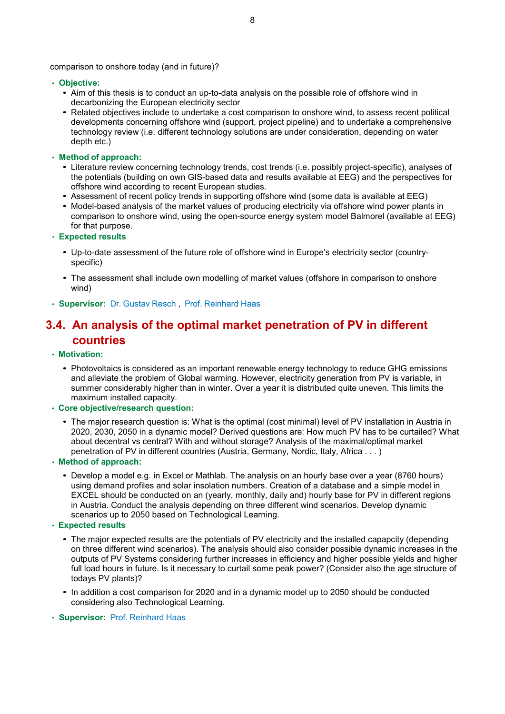comparison to onshore today (and in future)?

- **Objective:**
	- *•* Aim of this thesis is to conduct an up-to-data analysis on the possible role of offshore wind in decarbonizing the European electricity sector
	- *•* Related objectives include to undertake a cost comparison to onshore wind, to assess recent political developments concerning offshore wind (support, project pipeline) and to undertake a comprehensive technology review (i.e. different technology solutions are under consideration, depending on water depth etc.)
- **Method of approach:**
	- *•* Literature review concerning technology trends, cost trends (i.e. possibly project-specific), analyses of the potentials (building on own GIS-based data and results available at EEG) and the perspectives for offshore wind according to recent European studies.
	- *•* Assessment of recent policy trends in supporting offshore wind (some data is available at EEG)
	- *•* Model-based analysis of the market values of producing electricity via offshore wind power plants in comparison to onshore wind, using the open-source energy system model Balmorel (available at EEG) for that purpose.
- **Expected results**
	- *•* Up-to-date assessment of the future role of offshore wind in Europe's electricity sector (countryspecific)
	- *•* The assessment shall include own modelling of market values (offshore in comparison to onshore wind)
- **Supervisor:** [Dr. Gustav](mailto:Resch@eeg.tuwien.ac.at) Resch , Prof. [Reinhard](mailto:Haas@eeg.tuwien.ac.at) Haas

### <span id="page-7-0"></span>**3.4. An analysis of the optimal market penetration of PV in different countries**

- **Motivation:**
	- *•* Photovoltaics is considered as an important renewable energy technology to reduce GHG emissions and alleviate the problem of Global warming. However, electricity generation from PV is variable, in summer considerably higher than in winter. Over a year it is distributed quite uneven. This limits the maximum installed capacity.
- **Core objective/research question:**
	- *•* The major research question is: What is the optimal (cost minimal) level of PV installation in Austria in 2020, 2030, 2050 in a dynamic model? Derived questions are: How much PV has to be curtailed? What about decentral vs central? With and without storage? Analysis of the maximal/optimal market penetration of PV in different countries (Austria, Germany, Nordic, Italy, Africa . . . )
- **Method of approach:**
	- *•* Develop a model e.g. in Excel or Mathlab. The analysis on an hourly base over a year (8760 hours) using demand profiles and solar insolation numbers. Creation of a database and a simple model in EXCEL should be conducted on an (yearly, monthly, daily and) hourly base for PV in different regions in Austria. Conduct the analysis depending on three different wind scenarios. Develop dynamic scenarios up to 2050 based on Technological Learning.
- **Expected results**
	- *•* The major expected results are the potentials of PV electricity and the installed capapcity (depending on three different wind scenarios). The analysis should also consider possible dynamic increases in the outputs of PV Systems considering further increases in efficiency and higher possible yields and higher full load hours in future. Is it necessary to curtail some peak power? (Consider also the age structure of todays PV plants)?
	- *•* In addition a cost comparison for 2020 and in a dynamic model up to 2050 should be conducted considering also Technological Learning.
- **Supervisor:** Prof. [Reinhard](mailto:Haas@eeg.tuwien.ac.at) Haas